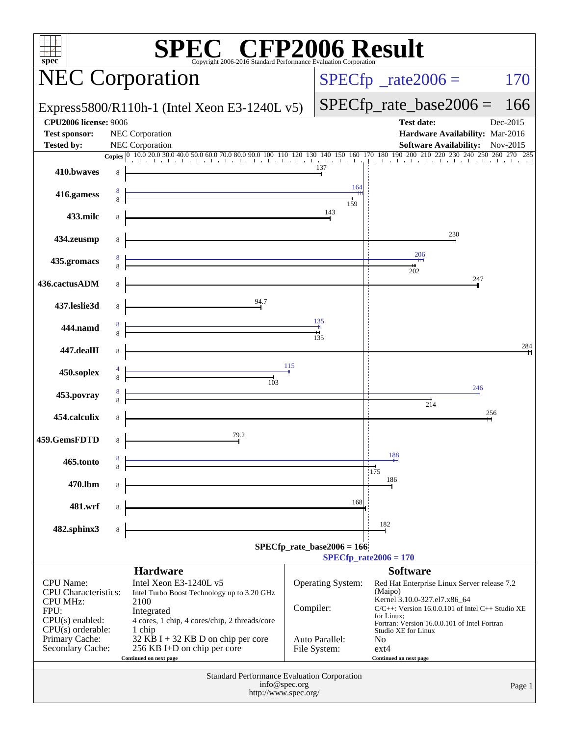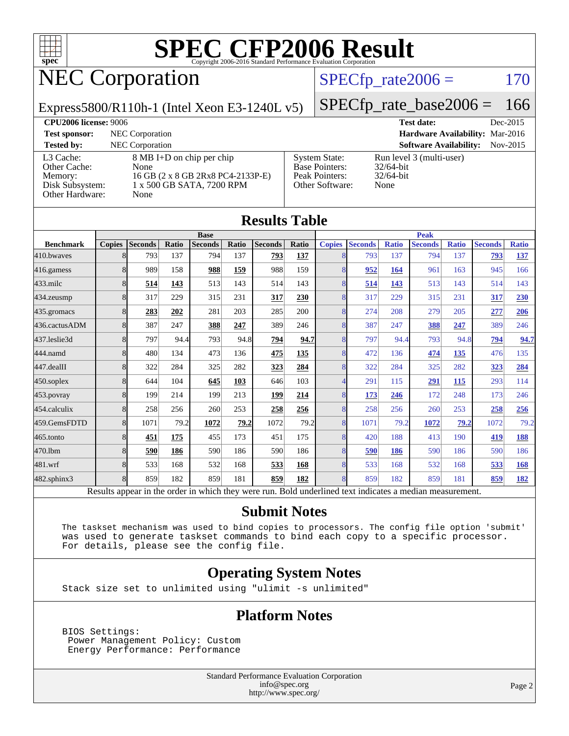

# NEC Corporation

### $SPECTp_rate2006 = 170$

Express5800/R110h-1 (Intel Xeon E3-1240L v5)

[SPECfp\\_rate\\_base2006 =](http://www.spec.org/auto/cpu2006/Docs/result-fields.html#SPECfpratebase2006) 166

| <b>CPU2006 license: 9006</b>                                               |                                                                                                             |                                                                                    | <b>Test date:</b><br>Dec-2015                                    |            |
|----------------------------------------------------------------------------|-------------------------------------------------------------------------------------------------------------|------------------------------------------------------------------------------------|------------------------------------------------------------------|------------|
| <b>Test sponsor:</b>                                                       | NEC Corporation                                                                                             |                                                                                    | Hardware Availability: Mar-2016                                  |            |
| <b>Tested by:</b>                                                          | <b>NEC</b> Corporation                                                                                      |                                                                                    | <b>Software Availability:</b>                                    | $Nov-2015$ |
| L3 Cache:<br>Other Cache:<br>Memory:<br>Disk Subsystem:<br>Other Hardware: | 8 MB I+D on chip per chip<br>None<br>16 GB (2 x 8 GB 2Rx8 PC4-2133P-E)<br>1 x 500 GB SATA, 7200 RPM<br>None | <b>System State:</b><br><b>Base Pointers:</b><br>Peak Pointers:<br>Other Software: | Run level 3 (multi-user)<br>$32/64$ -bit<br>$32/64$ -bit<br>None |            |

|                   | <b>Results Table</b> |                |       |                                                                                                          |       |                |              |               |                |              |                |              |                |              |
|-------------------|----------------------|----------------|-------|----------------------------------------------------------------------------------------------------------|-------|----------------|--------------|---------------|----------------|--------------|----------------|--------------|----------------|--------------|
|                   | <b>Base</b>          |                |       |                                                                                                          |       |                |              | <b>Peak</b>   |                |              |                |              |                |              |
| <b>Benchmark</b>  | <b>Copies</b>        | <b>Seconds</b> | Ratio | <b>Seconds</b>                                                                                           | Ratio | <b>Seconds</b> | <b>Ratio</b> | <b>Copies</b> | <b>Seconds</b> | <b>Ratio</b> | <b>Seconds</b> | <b>Ratio</b> | <b>Seconds</b> | <b>Ratio</b> |
| 410.bwayes        |                      | 793            | 137   | 794                                                                                                      | 137   | 793            | 137          | 8             | 793            | 137          | 794            | 137          | 793            | 137          |
| 416.gamess        | 8                    | 989            | 158   | 988                                                                                                      | 159   | 988            | 159          | 8             | 952            | 164          | 961            | 163          | 945            | 166          |
| 433.milc          | 8                    | 514            | 143   | 513                                                                                                      | 143   | 514            | 143          | 8             | 514            | 143          | 513            | 143          | 514            | 143          |
| $434$ . zeusmp    | 8                    | 317            | 229   | 315                                                                                                      | 231   | 317            | 230          | 8             | 317            | 229          | 315            | 231          | 317            | 230          |
| 435.gromacs       | 8                    | 283            | 202   | 281                                                                                                      | 203   | 285            | 200          | 8             | 274            | 208          | 279            | 205          | 277            | 206          |
| 436.cactusADM     | 8                    | 387            | 247   | 388                                                                                                      | 247   | 389            | 246          | 8             | 387            | 247          | 388            | 247          | 389            | 246          |
| 437.leslie3d      | 8                    | 797            | 94.4  | 793                                                                                                      | 94.8  | 794            | 94.7         | 8             | 797            | 94.4         | 793            | 94.8         | 794            | 94.7         |
| 444.namd          | 8                    | 480            | 134   | 473                                                                                                      | 136   | 475            | 135          | 8             | 472            | 136          | 474            | 135          | 476            | 135          |
| 447.dealII        | 8                    | 322            | 284   | 325                                                                                                      | 282   | 323            | 284          | 8             | 322            | 284          | 325            | 282          | 323            | 284          |
| 450.soplex        | 8                    | 644            | 104   | 645                                                                                                      | 103   | 646            | 103          |               | 291            | 115          | 291            | 115          | 293            | 114          |
| $453$ .povray     | 8                    | 199            | 214   | 199                                                                                                      | 213   | 199            | 214          | 8             | 173            | 246          | 172            | 248          | 173            | 246          |
| 454.calculix      | 8                    | 258            | 256   | 260                                                                                                      | 253   | 258            | 256          | 8             | 258            | 256          | 260            | 253          | 258            | 256          |
| 459.GemsFDTD      | 8                    | 1071           | 79.2  | 1072                                                                                                     | 79.2  | 1072           | 79.2         | 8             | 1071           | 79.2         | 1072           | 79.2         | 1072           | 79.2         |
| 465.tonto         | 8                    | 451            | 175   | 455                                                                                                      | 173   | 451            | 175          | 8             | 420            | 188          | 413            | 190          | 419            | <u>188</u>   |
| 470.1bm           | 8                    | 590            | 186   | 590                                                                                                      | 186   | 590            | 186          | 8             | 590            | 186          | 590            | 186          | 590            | 186          |
| 481.wrf           | 8                    | 533            | 168   | 532                                                                                                      | 168   | 533            | 168          | 8             | 533            | 168          | 532            | 168          | 533            | 168          |
| $482$ .sphinx $3$ | 8                    | 859            | 182   | 859                                                                                                      | 181   | 859            | 182          | 8             | 859            | 182          | 859            | 181          | 859            | 182          |
|                   |                      |                |       | Results appear in the order in which they were run. Bold underlined text indicates a median measurement. |       |                |              |               |                |              |                |              |                |              |

#### **[Submit Notes](http://www.spec.org/auto/cpu2006/Docs/result-fields.html#SubmitNotes)**

 The taskset mechanism was used to bind copies to processors. The config file option 'submit' was used to generate taskset commands to bind each copy to a specific processor. For details, please see the config file.

#### **[Operating System Notes](http://www.spec.org/auto/cpu2006/Docs/result-fields.html#OperatingSystemNotes)**

Stack size set to unlimited using "ulimit -s unlimited"

#### **[Platform Notes](http://www.spec.org/auto/cpu2006/Docs/result-fields.html#PlatformNotes)**

 BIOS Settings: Power Management Policy: Custom Energy Performance: Performance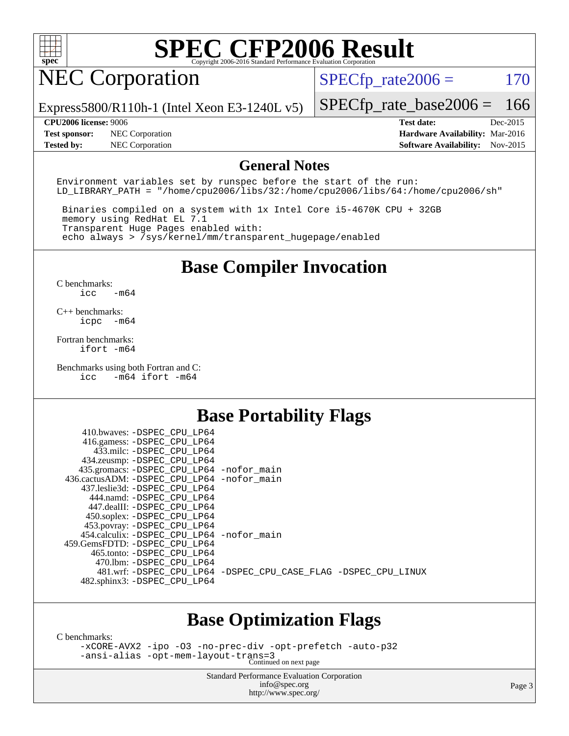

## NEC Corporation

 $SPECTp_rate2006 = 170$ 

Express5800/R110h-1 (Intel Xeon E3-1240L v5)

[SPECfp\\_rate\\_base2006 =](http://www.spec.org/auto/cpu2006/Docs/result-fields.html#SPECfpratebase2006) 166

**[Tested by:](http://www.spec.org/auto/cpu2006/Docs/result-fields.html#Testedby)** NEC Corporation **[Software Availability:](http://www.spec.org/auto/cpu2006/Docs/result-fields.html#SoftwareAvailability)** Nov-2015

**[CPU2006 license:](http://www.spec.org/auto/cpu2006/Docs/result-fields.html#CPU2006license)** 9006 **[Test date:](http://www.spec.org/auto/cpu2006/Docs/result-fields.html#Testdate)** Dec-2015 **[Test sponsor:](http://www.spec.org/auto/cpu2006/Docs/result-fields.html#Testsponsor)** NEC Corporation **[Hardware Availability:](http://www.spec.org/auto/cpu2006/Docs/result-fields.html#HardwareAvailability)** Mar-2016

#### **[General Notes](http://www.spec.org/auto/cpu2006/Docs/result-fields.html#GeneralNotes)**

Environment variables set by runspec before the start of the run: LD LIBRARY PATH = "/home/cpu2006/libs/32:/home/cpu2006/libs/64:/home/cpu2006/sh"

 Binaries compiled on a system with 1x Intel Core i5-4670K CPU + 32GB memory using RedHat EL 7.1 Transparent Huge Pages enabled with: echo always > /sys/kernel/mm/transparent\_hugepage/enabled

### **[Base Compiler Invocation](http://www.spec.org/auto/cpu2006/Docs/result-fields.html#BaseCompilerInvocation)**

[C benchmarks](http://www.spec.org/auto/cpu2006/Docs/result-fields.html#Cbenchmarks): [icc -m64](http://www.spec.org/cpu2006/results/res2016q1/cpu2006-20160125-38806.flags.html#user_CCbase_intel_icc_64bit_0b7121f5ab7cfabee23d88897260401c)

[C++ benchmarks:](http://www.spec.org/auto/cpu2006/Docs/result-fields.html#CXXbenchmarks) [icpc -m64](http://www.spec.org/cpu2006/results/res2016q1/cpu2006-20160125-38806.flags.html#user_CXXbase_intel_icpc_64bit_bedb90c1146cab66620883ef4f41a67e)

[Fortran benchmarks](http://www.spec.org/auto/cpu2006/Docs/result-fields.html#Fortranbenchmarks): [ifort -m64](http://www.spec.org/cpu2006/results/res2016q1/cpu2006-20160125-38806.flags.html#user_FCbase_intel_ifort_64bit_ee9d0fb25645d0210d97eb0527dcc06e)

[Benchmarks using both Fortran and C](http://www.spec.org/auto/cpu2006/Docs/result-fields.html#BenchmarksusingbothFortranandC): [icc -m64](http://www.spec.org/cpu2006/results/res2016q1/cpu2006-20160125-38806.flags.html#user_CC_FCbase_intel_icc_64bit_0b7121f5ab7cfabee23d88897260401c) [ifort -m64](http://www.spec.org/cpu2006/results/res2016q1/cpu2006-20160125-38806.flags.html#user_CC_FCbase_intel_ifort_64bit_ee9d0fb25645d0210d97eb0527dcc06e)

### **[Base Portability Flags](http://www.spec.org/auto/cpu2006/Docs/result-fields.html#BasePortabilityFlags)**

| 410.bwaves: -DSPEC CPU LP64<br>416.gamess: -DSPEC_CPU_LP64 |                                                                |
|------------------------------------------------------------|----------------------------------------------------------------|
| 433.milc: -DSPEC CPU LP64                                  |                                                                |
| 434.zeusmp: -DSPEC_CPU_LP64                                |                                                                |
| 435.gromacs: -DSPEC_CPU_LP64 -nofor_main                   |                                                                |
| 436.cactusADM: -DSPEC CPU LP64 -nofor main                 |                                                                |
| 437.leslie3d: -DSPEC CPU LP64                              |                                                                |
| 444.namd: - DSPEC_CPU_LP64                                 |                                                                |
| 447.dealII: -DSPEC_CPU_LP64                                |                                                                |
| 450.soplex: -DSPEC_CPU_LP64                                |                                                                |
| 453.povray: -DSPEC_CPU_LP64                                |                                                                |
| 454.calculix: -DSPEC_CPU_LP64 -nofor_main                  |                                                                |
| 459. GemsFDTD: - DSPEC CPU LP64                            |                                                                |
| 465.tonto: - DSPEC CPU LP64                                |                                                                |
| 470.1bm: - DSPEC CPU LP64                                  |                                                                |
|                                                            | 481.wrf: -DSPEC CPU_LP64 -DSPEC_CPU_CASE_FLAG -DSPEC_CPU_LINUX |
| 482.sphinx3: -DSPEC_CPU_LP64                               |                                                                |
|                                                            |                                                                |

### **[Base Optimization Flags](http://www.spec.org/auto/cpu2006/Docs/result-fields.html#BaseOptimizationFlags)**

[C benchmarks](http://www.spec.org/auto/cpu2006/Docs/result-fields.html#Cbenchmarks):

[-xCORE-AVX2](http://www.spec.org/cpu2006/results/res2016q1/cpu2006-20160125-38806.flags.html#user_CCbase_f-xAVX2_5f5fc0cbe2c9f62c816d3e45806c70d7) [-ipo](http://www.spec.org/cpu2006/results/res2016q1/cpu2006-20160125-38806.flags.html#user_CCbase_f-ipo) [-O3](http://www.spec.org/cpu2006/results/res2016q1/cpu2006-20160125-38806.flags.html#user_CCbase_f-O3) [-no-prec-div](http://www.spec.org/cpu2006/results/res2016q1/cpu2006-20160125-38806.flags.html#user_CCbase_f-no-prec-div) [-opt-prefetch](http://www.spec.org/cpu2006/results/res2016q1/cpu2006-20160125-38806.flags.html#user_CCbase_f-opt-prefetch) [-auto-p32](http://www.spec.org/cpu2006/results/res2016q1/cpu2006-20160125-38806.flags.html#user_CCbase_f-auto-p32) [-ansi-alias](http://www.spec.org/cpu2006/results/res2016q1/cpu2006-20160125-38806.flags.html#user_CCbase_f-ansi-alias) [-opt-mem-layout-trans=3](http://www.spec.org/cpu2006/results/res2016q1/cpu2006-20160125-38806.flags.html#user_CCbase_f-opt-mem-layout-trans_a7b82ad4bd7abf52556d4961a2ae94d5) Continued on next page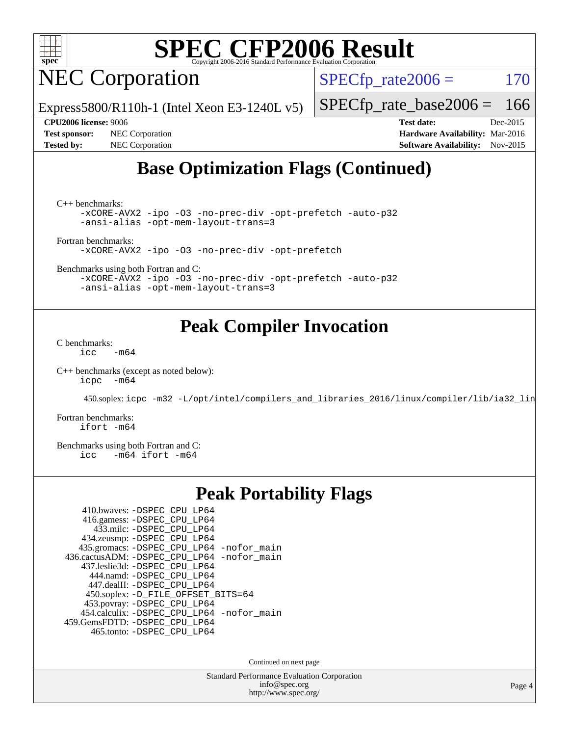

NEC Corporation

 $SPECTp_rate2006 = 170$ 

Express5800/R110h-1 (Intel Xeon E3-1240L v5) [SPECfp\\_rate\\_base2006 =](http://www.spec.org/auto/cpu2006/Docs/result-fields.html#SPECfpratebase2006) 166

**[Test sponsor:](http://www.spec.org/auto/cpu2006/Docs/result-fields.html#Testsponsor)** NEC Corporation **[Hardware Availability:](http://www.spec.org/auto/cpu2006/Docs/result-fields.html#HardwareAvailability)** Mar-2016

**[CPU2006 license:](http://www.spec.org/auto/cpu2006/Docs/result-fields.html#CPU2006license)** 9006 **[Test date:](http://www.spec.org/auto/cpu2006/Docs/result-fields.html#Testdate)** Dec-2015 **[Tested by:](http://www.spec.org/auto/cpu2006/Docs/result-fields.html#Testedby)** NEC Corporation **[Software Availability:](http://www.spec.org/auto/cpu2006/Docs/result-fields.html#SoftwareAvailability)** Nov-2015

### **[Base Optimization Flags \(Continued\)](http://www.spec.org/auto/cpu2006/Docs/result-fields.html#BaseOptimizationFlags)**

[C++ benchmarks:](http://www.spec.org/auto/cpu2006/Docs/result-fields.html#CXXbenchmarks)

[-xCORE-AVX2](http://www.spec.org/cpu2006/results/res2016q1/cpu2006-20160125-38806.flags.html#user_CXXbase_f-xAVX2_5f5fc0cbe2c9f62c816d3e45806c70d7) [-ipo](http://www.spec.org/cpu2006/results/res2016q1/cpu2006-20160125-38806.flags.html#user_CXXbase_f-ipo) [-O3](http://www.spec.org/cpu2006/results/res2016q1/cpu2006-20160125-38806.flags.html#user_CXXbase_f-O3) [-no-prec-div](http://www.spec.org/cpu2006/results/res2016q1/cpu2006-20160125-38806.flags.html#user_CXXbase_f-no-prec-div) [-opt-prefetch](http://www.spec.org/cpu2006/results/res2016q1/cpu2006-20160125-38806.flags.html#user_CXXbase_f-opt-prefetch) [-auto-p32](http://www.spec.org/cpu2006/results/res2016q1/cpu2006-20160125-38806.flags.html#user_CXXbase_f-auto-p32) [-ansi-alias](http://www.spec.org/cpu2006/results/res2016q1/cpu2006-20160125-38806.flags.html#user_CXXbase_f-ansi-alias) [-opt-mem-layout-trans=3](http://www.spec.org/cpu2006/results/res2016q1/cpu2006-20160125-38806.flags.html#user_CXXbase_f-opt-mem-layout-trans_a7b82ad4bd7abf52556d4961a2ae94d5)

[Fortran benchmarks](http://www.spec.org/auto/cpu2006/Docs/result-fields.html#Fortranbenchmarks):

[-xCORE-AVX2](http://www.spec.org/cpu2006/results/res2016q1/cpu2006-20160125-38806.flags.html#user_FCbase_f-xAVX2_5f5fc0cbe2c9f62c816d3e45806c70d7) [-ipo](http://www.spec.org/cpu2006/results/res2016q1/cpu2006-20160125-38806.flags.html#user_FCbase_f-ipo) [-O3](http://www.spec.org/cpu2006/results/res2016q1/cpu2006-20160125-38806.flags.html#user_FCbase_f-O3) [-no-prec-div](http://www.spec.org/cpu2006/results/res2016q1/cpu2006-20160125-38806.flags.html#user_FCbase_f-no-prec-div) [-opt-prefetch](http://www.spec.org/cpu2006/results/res2016q1/cpu2006-20160125-38806.flags.html#user_FCbase_f-opt-prefetch)

[Benchmarks using both Fortran and C](http://www.spec.org/auto/cpu2006/Docs/result-fields.html#BenchmarksusingbothFortranandC):

[-xCORE-AVX2](http://www.spec.org/cpu2006/results/res2016q1/cpu2006-20160125-38806.flags.html#user_CC_FCbase_f-xAVX2_5f5fc0cbe2c9f62c816d3e45806c70d7) [-ipo](http://www.spec.org/cpu2006/results/res2016q1/cpu2006-20160125-38806.flags.html#user_CC_FCbase_f-ipo) [-O3](http://www.spec.org/cpu2006/results/res2016q1/cpu2006-20160125-38806.flags.html#user_CC_FCbase_f-O3) [-no-prec-div](http://www.spec.org/cpu2006/results/res2016q1/cpu2006-20160125-38806.flags.html#user_CC_FCbase_f-no-prec-div) [-opt-prefetch](http://www.spec.org/cpu2006/results/res2016q1/cpu2006-20160125-38806.flags.html#user_CC_FCbase_f-opt-prefetch) [-auto-p32](http://www.spec.org/cpu2006/results/res2016q1/cpu2006-20160125-38806.flags.html#user_CC_FCbase_f-auto-p32) [-ansi-alias](http://www.spec.org/cpu2006/results/res2016q1/cpu2006-20160125-38806.flags.html#user_CC_FCbase_f-ansi-alias) [-opt-mem-layout-trans=3](http://www.spec.org/cpu2006/results/res2016q1/cpu2006-20160125-38806.flags.html#user_CC_FCbase_f-opt-mem-layout-trans_a7b82ad4bd7abf52556d4961a2ae94d5)

### **[Peak Compiler Invocation](http://www.spec.org/auto/cpu2006/Docs/result-fields.html#PeakCompilerInvocation)**

[C benchmarks](http://www.spec.org/auto/cpu2006/Docs/result-fields.html#Cbenchmarks):  $\text{icc}$  -m64

[C++ benchmarks \(except as noted below\):](http://www.spec.org/auto/cpu2006/Docs/result-fields.html#CXXbenchmarksexceptasnotedbelow) [icpc -m64](http://www.spec.org/cpu2006/results/res2016q1/cpu2006-20160125-38806.flags.html#user_CXXpeak_intel_icpc_64bit_bedb90c1146cab66620883ef4f41a67e)

450.soplex: [icpc -m32 -L/opt/intel/compilers\\_and\\_libraries\\_2016/linux/compiler/lib/ia32\\_lin](http://www.spec.org/cpu2006/results/res2016q1/cpu2006-20160125-38806.flags.html#user_peakCXXLD450_soplex_intel_icpc_b4f50a394bdb4597aa5879c16bc3f5c5)

[Fortran benchmarks](http://www.spec.org/auto/cpu2006/Docs/result-fields.html#Fortranbenchmarks): [ifort -m64](http://www.spec.org/cpu2006/results/res2016q1/cpu2006-20160125-38806.flags.html#user_FCpeak_intel_ifort_64bit_ee9d0fb25645d0210d97eb0527dcc06e)

[Benchmarks using both Fortran and C](http://www.spec.org/auto/cpu2006/Docs/result-fields.html#BenchmarksusingbothFortranandC):<br>icc -m64 ifort -m64  $-m64$  ifort  $-m64$ 

### **[Peak Portability Flags](http://www.spec.org/auto/cpu2006/Docs/result-fields.html#PeakPortabilityFlags)**

| 410.bwaves: -DSPEC CPU LP64                |
|--------------------------------------------|
| 416.gamess: -DSPEC_CPU_LP64                |
| 433.milc: -DSPEC CPU LP64                  |
| 434.zeusmp: -DSPEC_CPU_LP64                |
| 435.gromacs: -DSPEC_CPU_LP64 -nofor_main   |
| 436.cactusADM: -DSPEC_CPU_LP64 -nofor_main |
| 437.leslie3d: -DSPEC CPU LP64              |
| 444.namd: -DSPEC CPU LP64                  |
| 447.dealII: -DSPEC_CPU_LP64                |
| 450.soplex: -D_FILE_OFFSET_BITS=64         |
| 453.povray: -DSPEC_CPU_LP64                |
| 454.calculix: -DSPEC_CPU_LP64 -nofor_main  |
| 459.GemsFDTD: -DSPEC_CPU_LP64              |
| 465.tonto: - DSPEC CPU LP64                |

Continued on next page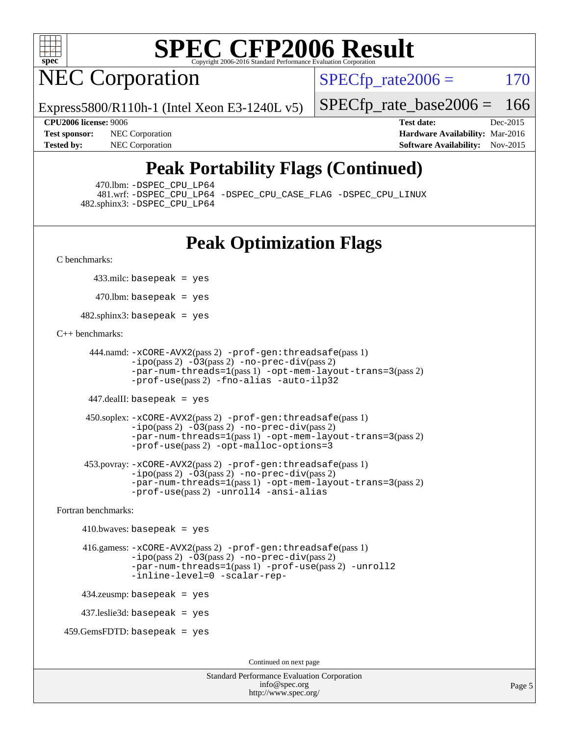

**NEC Corporation** 

 $SPECTp\_rate2006 = 170$ 

Express5800/R110h-1 (Intel Xeon E3-1240L v5)

[SPECfp\\_rate\\_base2006 =](http://www.spec.org/auto/cpu2006/Docs/result-fields.html#SPECfpratebase2006) 166

**[CPU2006 license:](http://www.spec.org/auto/cpu2006/Docs/result-fields.html#CPU2006license)** 9006 **[Test date:](http://www.spec.org/auto/cpu2006/Docs/result-fields.html#Testdate)** Dec-2015 **[Test sponsor:](http://www.spec.org/auto/cpu2006/Docs/result-fields.html#Testsponsor)** NEC Corporation **NEC Corporation [Hardware Availability:](http://www.spec.org/auto/cpu2006/Docs/result-fields.html#HardwareAvailability)** Mar-2016 **[Tested by:](http://www.spec.org/auto/cpu2006/Docs/result-fields.html#Testedby)** NEC Corporation **[Software Availability:](http://www.spec.org/auto/cpu2006/Docs/result-fields.html#SoftwareAvailability)** Nov-2015

### **[Peak Portability Flags \(Continued\)](http://www.spec.org/auto/cpu2006/Docs/result-fields.html#PeakPortabilityFlags)**

470.lbm: [-DSPEC\\_CPU\\_LP64](http://www.spec.org/cpu2006/results/res2016q1/cpu2006-20160125-38806.flags.html#suite_peakPORTABILITY470_lbm_DSPEC_CPU_LP64)

 481.wrf: [-DSPEC\\_CPU\\_LP64](http://www.spec.org/cpu2006/results/res2016q1/cpu2006-20160125-38806.flags.html#suite_peakPORTABILITY481_wrf_DSPEC_CPU_LP64) [-DSPEC\\_CPU\\_CASE\\_FLAG](http://www.spec.org/cpu2006/results/res2016q1/cpu2006-20160125-38806.flags.html#b481.wrf_peakCPORTABILITY_DSPEC_CPU_CASE_FLAG) [-DSPEC\\_CPU\\_LINUX](http://www.spec.org/cpu2006/results/res2016q1/cpu2006-20160125-38806.flags.html#b481.wrf_peakCPORTABILITY_DSPEC_CPU_LINUX) 482.sphinx3: [-DSPEC\\_CPU\\_LP64](http://www.spec.org/cpu2006/results/res2016q1/cpu2006-20160125-38806.flags.html#suite_peakPORTABILITY482_sphinx3_DSPEC_CPU_LP64)

### **[Peak Optimization Flags](http://www.spec.org/auto/cpu2006/Docs/result-fields.html#PeakOptimizationFlags)**

[C benchmarks](http://www.spec.org/auto/cpu2006/Docs/result-fields.html#Cbenchmarks):

433.milc: basepeak = yes

 $470$ .lbm: basepeak = yes

482.sphinx3: basepeak = yes

#### [C++ benchmarks:](http://www.spec.org/auto/cpu2006/Docs/result-fields.html#CXXbenchmarks)

```
 444.namd: -xCORE-AVX2(pass 2) -prof-gen:threadsafe(pass 1)
        -ipo(pass 2) -O3(pass 2) -no-prec-div(pass 2)
        -par-num-threads=1(pass 1) -opt-mem-layout-trans=3(pass 2)
        -prof-use(pass 2) -fno-alias -auto-ilp32
```
447.dealII: basepeak = yes

```
 450.soplex: -xCORE-AVX2(pass 2) -prof-gen:threadsafe(pass 1)
         -ipo(pass 2) -O3(pass 2) -no-prec-div(pass 2)
         -par-num-threads=1(pass 1) -opt-mem-layout-trans=3(pass 2)
         -prof-use(pass 2) -opt-malloc-options=3
```

```
 453.povray: -xCORE-AVX2(pass 2) -prof-gen:threadsafe(pass 1)
        -no-prec-div(pass 2)-par-num-threads=1(pass 1) -opt-mem-layout-trans=3(pass 2)
        -prof-use(pass 2) -unroll4 -ansi-alias
```
[Fortran benchmarks](http://www.spec.org/auto/cpu2006/Docs/result-fields.html#Fortranbenchmarks):

```
410.bwaves: basepeak = yes 416.gamess: -xCORE-AVX2(pass 2) -prof-gen:threadsafe(pass 1)
              -i\text{po}(pass 2) -\overline{O}3(pass 2)-no-prec-div(pass 2)
              -par-num-threads=1(pass 1) -prof-use(pass 2) -unroll2
              -inline-level=0 -scalar-rep-
    434.zeusmp: basepeak = yes
    437.leslie3d: basepeak = yes
459.GemsFDTD: basepeak = yes
```
Continued on next page